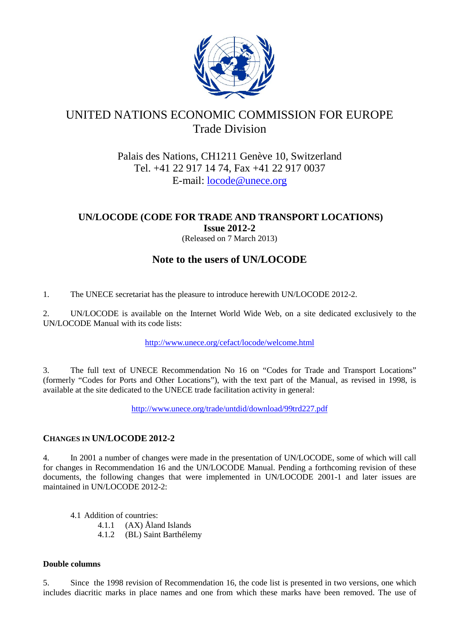

# UNITED NATIONS ECONOMIC COMMISSION FOR EUROPE Trade Division

# Palais des Nations, CH1211 Genève 10, Switzerland Tel. +41 22 917 14 74, Fax +41 22 917 0037 E-mail: [locode@unece.org](mailto:locode@unece.org)

# **UN/LOCODE (CODE FOR TRADE AND TRANSPORT LOCATIONS) Issue 2012-2**

(Released on 7 March 2013)

# **Note to the users of UN/LOCODE**

1. The UNECE secretariat has the pleasure to introduce herewith UN/LOCODE 2012-2.

2. UN/LOCODE is available on the Internet World Wide Web, on a site dedicated exclusively to the UN/LOCODE Manual with its code lists:

<http://www.unece.org/cefact/locode/welcome.html>

3. The full text of UNECE Recommendation No 16 on "Codes for Trade and Transport Locations" (formerly "Codes for Ports and Other Locations"), with the text part of the Manual, as revised in 1998, is available at the site dedicated to the UNECE trade facilitation activity in general:

<http://www.unece.org/trade/untdid/download/99trd227.pdf>

# **CHANGES IN UN/LOCODE 2012-2**

4. In 2001 a number of changes were made in the presentation of UN/LOCODE, some of which will call for changes in Recommendation 16 and the UN/LOCODE Manual. Pending a forthcoming revision of these documents, the following changes that were implemented in UN/LOCODE 2001-1 and later issues are maintained in UN/LOCODE 2012-2:

4.1 Addition of countries:

4.1.1 (AX) Åland Islands

4.1.2 (BL) Saint Barthélemy

# **Double columns**

5. Since the 1998 revision of Recommendation 16, the code list is presented in two versions, one which includes diacritic marks in place names and one from which these marks have been removed. The use of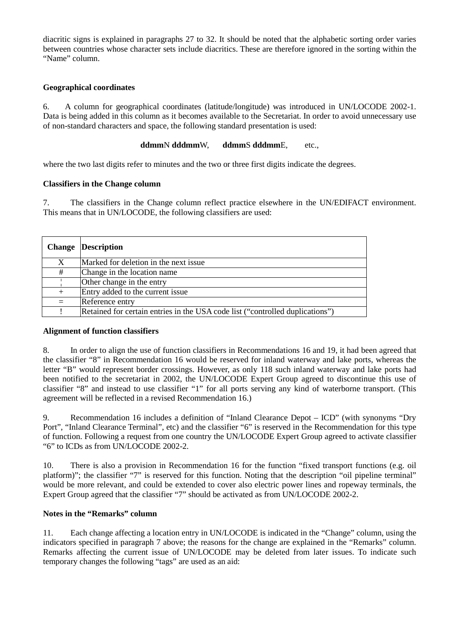diacritic signs is explained in paragraphs 27 to 32. It should be noted that the alphabetic sorting order varies between countries whose character sets include diacritics. These are therefore ignored in the sorting within the "Name" column.

### **Geographical coordinates**

6. A column for geographical coordinates (latitude/longitude) was introduced in UN/LOCODE 2002-1. Data is being added in this column as it becomes available to the Secretariat. In order to avoid unnecessary use of non-standard characters and space, the following standard presentation is used:

**ddmm**N **dddmm**W, **ddmm**S **dddmm**E, etc.,

where the two last digits refer to minutes and the two or three first digits indicate the degrees.

### **Classifiers in the Change column**

7. The classifiers in the Change column reflect practice elsewhere in the UN/EDIFACT environment. This means that in UN/LOCODE, the following classifiers are used:

| <b>Change</b> | <b>Description</b>                                                            |
|---------------|-------------------------------------------------------------------------------|
| X             | Marked for deletion in the next issue                                         |
| #             | Change in the location name                                                   |
|               | Other change in the entry                                                     |
| $^{+}$        | Entry added to the current issue                                              |
|               | Reference entry                                                               |
|               | Retained for certain entries in the USA code list ("controlled duplications") |

#### **Alignment of function classifiers**

8. In order to align the use of function classifiers in Recommendations 16 and 19, it had been agreed that the classifier "8" in Recommendation 16 would be reserved for inland waterway and lake ports, whereas the letter "B" would represent border crossings. However, as only 118 such inland waterway and lake ports had been notified to the secretariat in 2002, the UN/LOCODE Expert Group agreed to discontinue this use of classifier "8" and instead to use classifier "1" for all ports serving any kind of waterborne transport. (This agreement will be reflected in a revised Recommendation 16.)

9. Recommendation 16 includes a definition of "Inland Clearance Depot – ICD" (with synonyms "Dry Port", "Inland Clearance Terminal", etc) and the classifier "6" is reserved in the Recommendation for this type of function. Following a request from one country the UN/LOCODE Expert Group agreed to activate classifier "6" to ICDs as from UN/LOCODE 2002-2.

10. There is also a provision in Recommendation 16 for the function "fixed transport functions (e.g. oil platform)"; the classifier "7" is reserved for this function. Noting that the description "oil pipeline terminal" would be more relevant, and could be extended to cover also electric power lines and ropeway terminals, the Expert Group agreed that the classifier "7" should be activated as from UN/LOCODE 2002-2.

# **Notes in the "Remarks" column**

11. Each change affecting a location entry in UN/LOCODE is indicated in the "Change" column, using the indicators specified in paragraph 7 above; the reasons for the change are explained in the "Remarks" column. Remarks affecting the current issue of UN/LOCODE may be deleted from later issues. To indicate such temporary changes the following "tags" are used as an aid: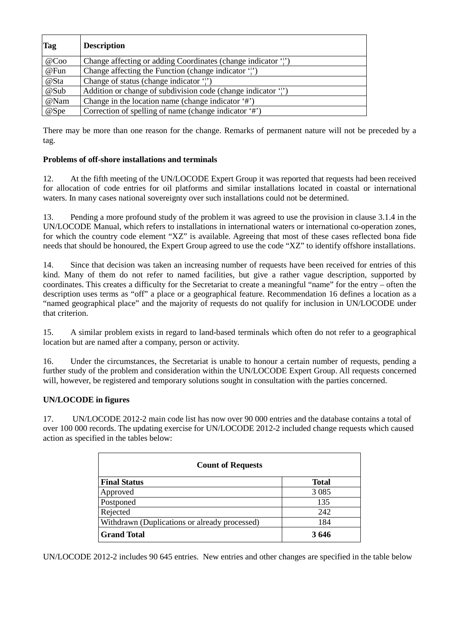| <b>Tag</b> | <b>Description</b>                                          |
|------------|-------------------------------------------------------------|
| @Coo       | Change affecting or adding Coordinates (change indicator ') |
| @Fun       | Change affecting the Function (change indicator ')          |
| @Sta       | Change of status (change indicator 'i')                     |
| @Sub       | Addition or change of subdivision code (change indicator ") |
| @Nam       | Change in the location name (change indicator '#')          |
| @Spe       | Correction of spelling of name (change indicator '#')       |

There may be more than one reason for the change. Remarks of permanent nature will not be preceded by a tag.

# **Problems of off-shore installations and terminals**

12. At the fifth meeting of the UN/LOCODE Expert Group it was reported that requests had been received for allocation of code entries for oil platforms and similar installations located in coastal or international waters. In many cases national sovereignty over such installations could not be determined.

13. Pending a more profound study of the problem it was agreed to use the provision in clause 3.1.4 in the UN/LOCODE Manual, which refers to installations in international waters or international co-operation zones, for which the country code element "XZ" is available. Agreeing that most of these cases reflected bona fide needs that should be honoured, the Expert Group agreed to use the code "XZ" to identify offshore installations.

14. Since that decision was taken an increasing number of requests have been received for entries of this kind. Many of them do not refer to named facilities, but give a rather vague description, supported by coordinates. This creates a difficulty for the Secretariat to create a meaningful "name" for the entry – often the description uses terms as "off" a place or a geographical feature. Recommendation 16 defines a location as a "named geographical place" and the majority of requests do not qualify for inclusion in UN/LOCODE under that criterion.

15. A similar problem exists in regard to land-based terminals which often do not refer to a geographical location but are named after a company, person or activity.

16. Under the circumstances, the Secretariat is unable to honour a certain number of requests, pending a further study of the problem and consideration within the UN/LOCODE Expert Group. All requests concerned will, however, be registered and temporary solutions sought in consultation with the parties concerned.

#### **UN/LOCODE in figures**

17. UN/LOCODE 2012-2 main code list has now over 90 000 entries and the database contains a total of over 100 000 records. The updating exercise for UN/LOCODE 2012-2 included change requests which caused action as specified in the tables below:

| <b>Count of Requests</b>                      |              |  |  |
|-----------------------------------------------|--------------|--|--|
| <b>Final Status</b>                           | <b>Total</b> |  |  |
| Approved                                      | 3 0 8 5      |  |  |
| Postponed                                     | 135          |  |  |
| Rejected                                      | 242          |  |  |
| Withdrawn (Duplications or already processed) | 184          |  |  |
| <b>Grand Total</b>                            | 3646         |  |  |

UN/LOCODE 2012-2 includes 90 645 entries. New entries and other changes are specified in the table below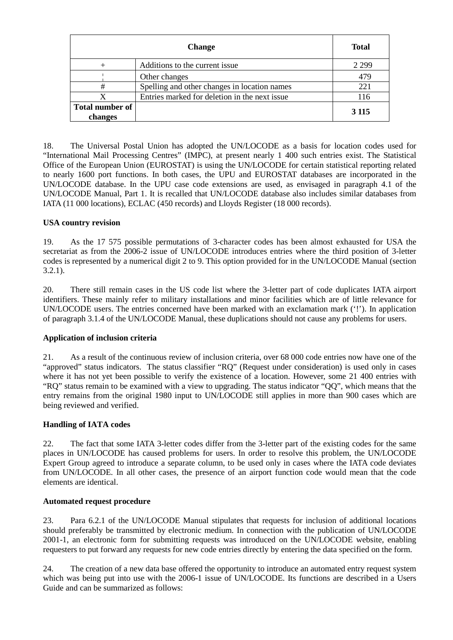|                                   | <b>Change</b>                                  | <b>Total</b> |
|-----------------------------------|------------------------------------------------|--------------|
|                                   | Additions to the current issue                 | 2 2 9 9      |
|                                   | Other changes                                  | 479          |
| #                                 | Spelling and other changes in location names   | 221          |
|                                   | Entries marked for deletion in the next issue. | 116          |
| <b>Total number of</b><br>changes |                                                | 3 1 1 5      |

18. The Universal Postal Union has adopted the UN/LOCODE as a basis for location codes used for "International Mail Processing Centres" (IMPC), at present nearly 1 400 such entries exist. The Statistical Office of the European Union (EUROSTAT) is using the UN/LOCODE for certain statistical reporting related to nearly 1600 port functions. In both cases, the UPU and EUROSTAT databases are incorporated in the UN/LOCODE database. In the UPU case code extensions are used, as envisaged in paragraph 4.1 of the UN/LOCODE Manual, Part 1. It is recalled that UN/LOCODE database also includes similar databases from IATA (11 000 locations), ECLAC (450 records) and Lloyds Register (18 000 records).

# **USA country revision**

19. As the 17 575 possible permutations of 3-character codes has been almost exhausted for USA the secretariat as from the 2006-2 issue of UN/LOCODE introduces entries where the third position of 3-letter codes is represented by a numerical digit 2 to 9. This option provided for in the UN/LOCODE Manual (section 3.2.1).

20. There still remain cases in the US code list where the 3-letter part of code duplicates IATA airport identifiers. These mainly refer to military installations and minor facilities which are of little relevance for UN/LOCODE users. The entries concerned have been marked with an exclamation mark ('!'). In application of paragraph 3.1.4 of the UN/LOCODE Manual, these duplications should not cause any problems for users.

#### **Application of inclusion criteria**

21. As a result of the continuous review of inclusion criteria, over 68 000 code entries now have one of the "approved" status indicators. The status classifier "RQ" (Request under consideration) is used only in cases where it has not yet been possible to verify the existence of a location. However, some 21 400 entries with "RQ" status remain to be examined with a view to upgrading. The status indicator "QQ", which means that the entry remains from the original 1980 input to UN/LOCODE still applies in more than 900 cases which are being reviewed and verified.

# **Handling of IATA codes**

22. The fact that some IATA 3-letter codes differ from the 3-letter part of the existing codes for the same places in UN/LOCODE has caused problems for users. In order to resolve this problem, the UN/LOCODE Expert Group agreed to introduce a separate column, to be used only in cases where the IATA code deviates from UN/LOCODE. In all other cases, the presence of an airport function code would mean that the code elements are identical.

#### **Automated request procedure**

23. Para 6.2.1 of the UN/LOCODE Manual stipulates that requests for inclusion of additional locations should preferably be transmitted by electronic medium. In connection with the publication of UN/LOCODE 2001-1, an electronic form for submitting requests was introduced on the UN/LOCODE website, enabling requesters to put forward any requests for new code entries directly by entering the data specified on the form.

24. The creation of a new data base offered the opportunity to introduce an automated entry request system which was being put into use with the 2006-1 issue of UN/LOCODE. Its functions are described in a Users Guide and can be summarized as follows: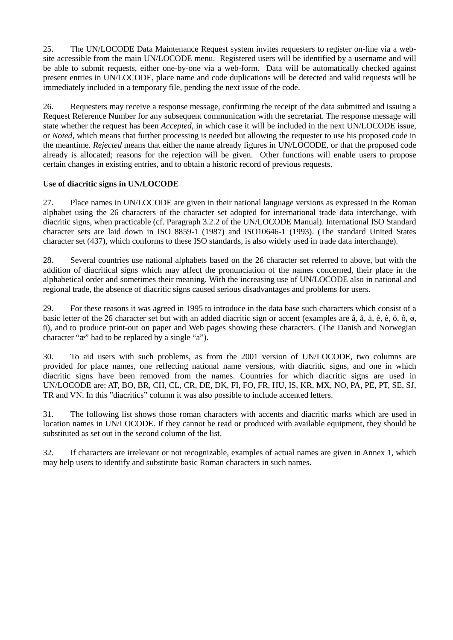25. The UN/LOCODE Data Maintenance Request system invites requesters to register on-line via a website accessible from the main UN/LOCODE menu. Registered users will be identified by a username and will be able to submit requests, either one-by-one via a web-form. Data will be automatically checked against present entries in UN/LOCODE, place name and code duplications will be detected and valid requests will be immediately included in a temporary file, pending the next issue of the code.

26. Requesters may receive a response message, confirming the receipt of the data submitted and issuing a Request Reference Number for any subsequent communication with the secretariat. The response message will state whether the request has been *Accepted*, in which case it will be included in the next UN/LOCODE issue, or *Noted,* which means that further processing is needed but allowing the requester to use his proposed code in the meantime. *Rejected* means that either the name already figures in UN/LOCODE, or that the proposed code already is allocated; reasons for the rejection will be given. Other functions will enable users to propose certain changes in existing entries, and to obtain a historic record of previous requests.

### **Use of diacritic signs in UN/LOCODE**

27. Place names in UN/LOCODE are given in their national language versions as expressed in the Roman alphabet using the 26 characters of the character set adopted for international trade data interchange, with diacritic signs, when practicable (cf. Paragraph 3.2.2 of the UN/LOCODE Manual). International ISO Standard character sets are laid down in ISO 8859-1 (1987) and ISO10646-1 (1993). (The standard United States character set (437), which conforms to these ISO standards, is also widely used in trade data interchange).

28. Several countries use national alphabets based on the 26 character set referred to above, but with the addition of diacritical signs which may affect the pronunciation of the names concerned, their place in the alphabetical order and sometimes their meaning. With the increasing use of UN/LOCODE also in national and regional trade, the absence of diacritic signs caused serious disadvantages and problems for users.

29. For these reasons it was agreed in 1995 to introduce in the data base such characters which consist of a basic letter of the 26 character set but with an added diacritic sign or accent (examples are â, å, ä, é, è, ö, ô, ø, ü), and to produce print-out on paper and Web pages showing these characters. (The Danish and Norwegian character "æ" had to be replaced by a single "a").

30. To aid users with such problems, as from the 2001 version of UN/LOCODE, two columns are provided for place names, one reflecting national name versions, with diacritic signs, and one in which diacritic signs have been removed from the names. Countries for which diacritic signs are used in UN/LOCODE are: AT, BO, BR, CH, CL, CR, DE, DK, FI, FO, FR, HU, IS, KR, MX, NO, PA, PE, PT, SE, SJ, TR and VN. In this "diacritics" column it was also possible to include accented letters.

31. The following list shows those roman characters with accents and diacritic marks which are used in location names in UN/LOCODE. If they cannot be read or produced with available equipment, they should be substituted as set out in the second column of the list.

32. If characters are irrelevant or not recognizable, examples of actual names are given in Annex 1, which may help users to identify and substitute basic Roman characters in such names.